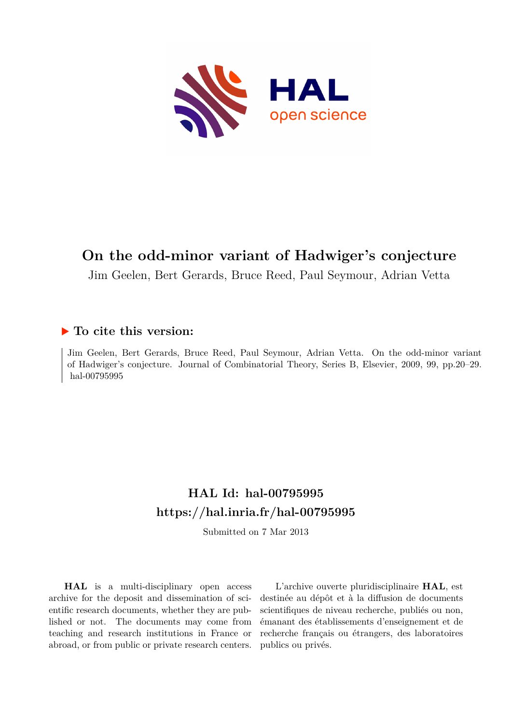

# **On the odd-minor variant of Hadwiger's conjecture**

Jim Geelen, Bert Gerards, Bruce Reed, Paul Seymour, Adrian Vetta

## **To cite this version:**

Jim Geelen, Bert Gerards, Bruce Reed, Paul Seymour, Adrian Vetta. On the odd-minor variant of Hadwiger's conjecture. Journal of Combinatorial Theory, Series B, Elsevier, 2009, 99, pp.20–29. hal-00795995

# **HAL Id: hal-00795995 <https://hal.inria.fr/hal-00795995>**

Submitted on 7 Mar 2013

**HAL** is a multi-disciplinary open access archive for the deposit and dissemination of scientific research documents, whether they are published or not. The documents may come from teaching and research institutions in France or abroad, or from public or private research centers.

L'archive ouverte pluridisciplinaire **HAL**, est destinée au dépôt et à la diffusion de documents scientifiques de niveau recherche, publiés ou non, émanant des établissements d'enseignement et de recherche français ou étrangers, des laboratoires publics ou privés.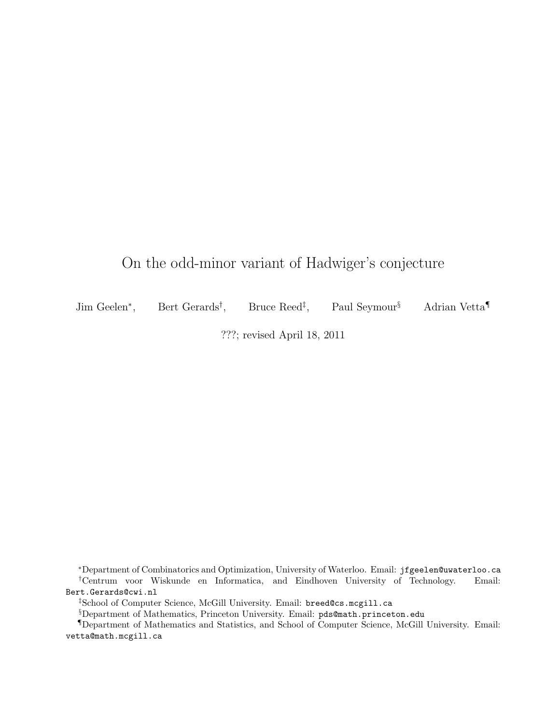## On the odd-minor variant of Hadwiger's conjecture

Jim Geelen∗, Bert Gerards† Bruce Reed<sup>‡</sup>, Paul Seymour<sup>§</sup> Adrian Vetta

???; revised April 18, 2011

<sup>∗</sup>Department of Combinatorics and Optimization, University of Waterloo. Email: jfgeelen@uwaterloo.ca †Centrum voor Wiskunde en Informatica, and Eindhoven University of Technology. Email: Bert.Gerards@cwi.nl

‡School of Computer Science, McGill University. Email: breed@cs.mcgill.ca

§Department of Mathematics, Princeton University. Email: pds@math.princeton.edu

¶Department of Mathematics and Statistics, and School of Computer Science, McGill University. Email: vetta@math.mcgill.ca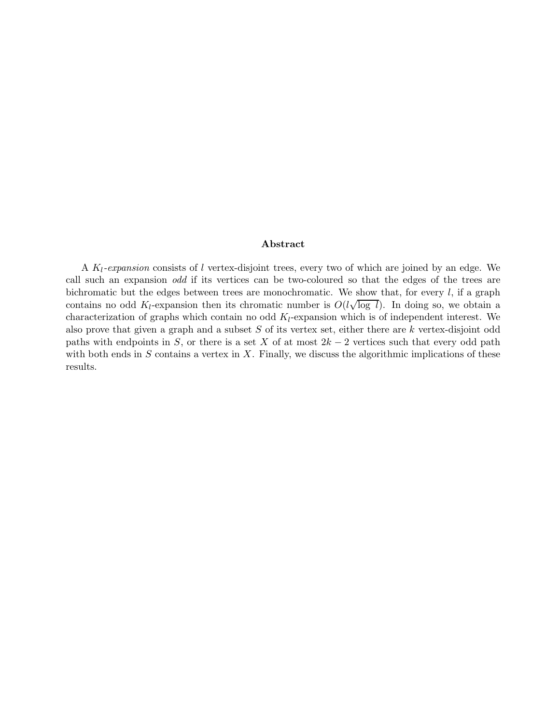#### **Abstract**

A K*l-expansion* consists of l vertex-disjoint trees, every two of which are joined by an edge. We call such an expansion *odd* if its vertices can be two-coloured so that the edges of the trees are bichromatic but the edges between trees are monochromatic. We show that, for every  $l$ , if a graph contains no odd  $K_l$ -expansion then its chromatic number is  $O(l\sqrt{\log l})$ . In doing so, we obtain a characterization of graphs which contain no odd K*l*-expansion which is of independent interest. We also prove that given a graph and a subset  $S$  of its vertex set, either there are  $k$  vertex-disjoint odd paths with endpoints in S, or there is a set X of at most  $2k - 2$  vertices such that every odd path with both ends in  $S$  contains a vertex in  $X$ . Finally, we discuss the algorithmic implications of these results.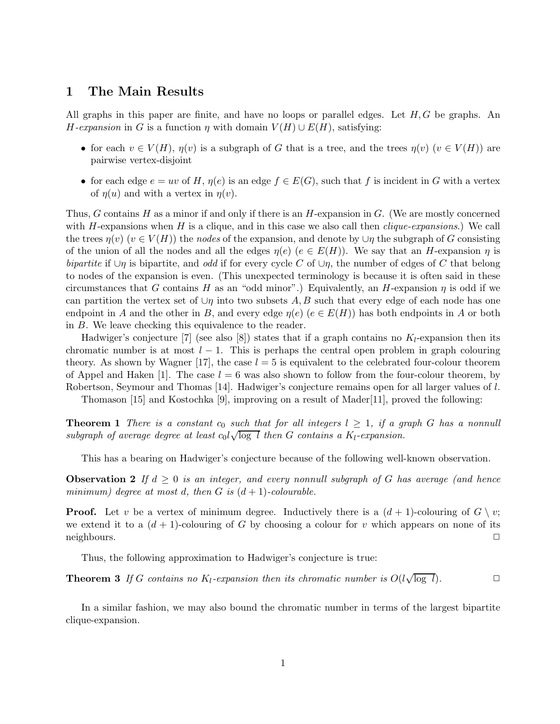#### **1 The Main Results**

All graphs in this paper are finite, and have no loops or parallel edges. Let  $H, G$  be graphs. An H-expansion in G is a function  $\eta$  with domain  $V(H) \cup E(H)$ , satisfying:

- for each  $v \in V(H)$ ,  $\eta(v)$  is a subgraph of G that is a tree, and the trees  $\eta(v)$  ( $v \in V(H)$ ) are pairwise vertex-disjoint
- for each edge  $e = uv$  of H,  $\eta(e)$  is an edge  $f \in E(G)$ , such that f is incident in G with a vertex of  $\eta(u)$  and with a vertex in  $\eta(v)$ .

Thus, G contains H as a minor if and only if there is an H-expansion in  $G$ . (We are mostly concerned with H-expansions when H is a clique, and in this case we also call then *clique-expansions*.) We call the trees  $\eta(v)$  ( $v \in V(H)$ ) the *nodes* of the expansion, and denote by  $\cup \eta$  the subgraph of G consisting of the union of all the nodes and all the edges  $\eta(e)$  ( $e \in E(H)$ ). We say that an H-expansion  $\eta$  is *bipartite* if  $\cup$ η is bipartite, and *odd* if for every cycle C of  $\cup$ η, the number of edges of C that belong to nodes of the expansion is even. (This unexpected terminology is because it is often said in these circumstances that G contains H as an "odd minor".) Equivalently, an H-expansion  $\eta$  is odd if we can partition the vertex set of  $\cup$ η into two subsets A, B such that every edge of each node has one endpoint in A and the other in B, and every edge  $\eta(e)$  ( $e \in E(H)$ ) has both endpoints in A or both in B. We leave checking this equivalence to the reader.

Hadwiger's conjecture [7] (see also [8]) states that if a graph contains no K*l*-expansion then its chromatic number is at most  $l - 1$ . This is perhaps the central open problem in graph colouring theory. As shown by Wagner [17], the case  $l = 5$  is equivalent to the celebrated four-colour theorem of Appel and Haken [1]. The case  $l = 6$  was also shown to follow from the four-colour theorem, by Robertson, Seymour and Thomas [14]. Hadwiger's conjecture remains open for all larger values of l.

Thomason [15] and Kostochka [9], improving on a result of Mader[11], proved the following:

**Theorem 1** *There is a constant*  $c_0$  *such that for all integers*  $l \geq 1$ *, if a graph* G *has a nonnull* **is a subgraph of average degree at least**  $c_0 \sqrt{\log l}$  then G contains a  $K_l$ -expansion.

This has a bearing on Hadwiger's conjecture because of the following well-known observation.

**Observation 2** If  $d \geq 0$  *is an integer, and every nonnull subgraph of* G *has average (and hence minimum)* degree at most d, then G is  $(d+1)$ -colourable.

**Proof.** Let v be a vertex of minimum degree. Inductively there is a  $(d+1)$ -colouring of  $G \setminus v$ ; we extend it to a  $(d+1)$ -colouring of G by choosing a colour for v which appears on none of its neighbours.  $\Box$ 

Thus, the following approximation to Hadwiger's conjecture is true:

**Theorem 3** *If* G contains no  $K_l$ -expansion then its chromatic number is  $O(l\sqrt{\log l})$ .

In a similar fashion, we may also bound the chromatic number in terms of the largest bipartite clique-expansion.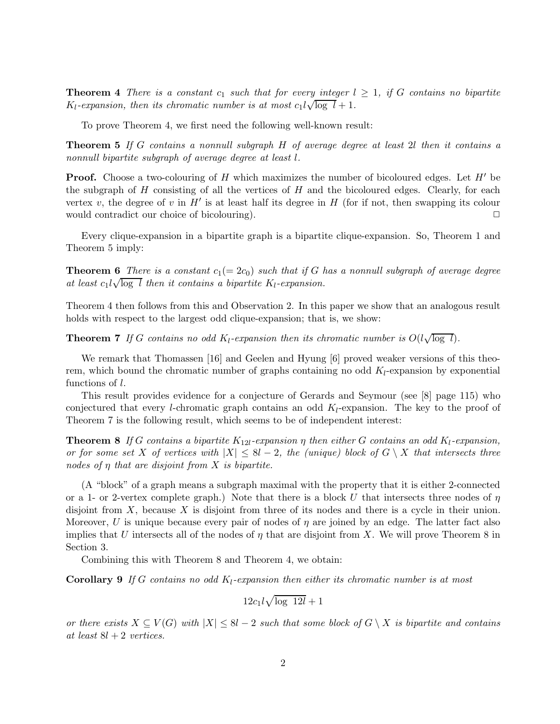**Theorem 4** *There is a constant*  $c_1$  *such that for every integer*  $l \geq 1$ *, if* G *contains no bipartite* **Theorem 4** There is a constant  $c_1$  such that for every integer is  $K_l$ -expansion, then its chromatic number is at most  $c_1 l \sqrt{\log l} + 1$ .

To prove Theorem 4, we first need the following well-known result:

**Theorem 5** *If* G *contains a nonnull subgraph* H *of average degree at least* 2l *then it contains a nonnull bipartite subgraph of average degree at least* l*.*

**Proof.** Choose a two-colouring of H which maximizes the number of bicoloured edges. Let  $H'$  be the subgraph of  $H$  consisting of all the vertices of  $H$  and the bicoloured edges. Clearly, for each vertex v, the degree of v in  $H'$  is at least half its degree in  $H$  (for if not, then swapping its colour would contradict our choice of bicolouring).  $\Box$ 

Every clique-expansion in a bipartite graph is a bipartite clique-expansion. So, Theorem 1 and Theorem 5 imply:

**Theorem 6** *There is a constant*  $c_1(= 2c_0)$  *such that if* G *has a nonnull subgraph of average degree* **at least** c<sub>1</sub> $l\sqrt{\log l}$  *then it contains a bipartite*  $K_l$ -expansion.

Theorem 4 then follows from this and Observation 2. In this paper we show that an analogous result holds with respect to the largest odd clique-expansion; that is, we show:

**Theorem 7** *If* G contains no odd  $K_l$ -expansion then its chromatic number is  $O(l\sqrt{\log l})$ *.* 

We remark that Thomassen [16] and Geelen and Hyung [6] proved weaker versions of this theorem, which bound the chromatic number of graphs containing no odd K*l*-expansion by exponential functions of l.

This result provides evidence for a conjecture of Gerards and Seymour (see [8] page 115) who conjectured that every l-chromatic graph contains an odd K*l*-expansion. The key to the proof of Theorem 7 is the following result, which seems to be of independent interest:

**Theorem 8** *If* G contains a bipartite  $K_{12l}$ -expansion  $\eta$  then either G contains an odd  $K_l$ -expansion, *or for some set* X *of vertices with*  $|X| \leq 8l - 2$ , the (unique) block of  $G \setminus X$  that intersects three *nodes of* η *that are disjoint from* X *is bipartite.*

(A "block" of a graph means a subgraph maximal with the property that it is either 2-connected or a 1- or 2-vertex complete graph.) Note that there is a block U that intersects three nodes of  $\eta$ disjoint from  $X$ , because  $X$  is disjoint from three of its nodes and there is a cycle in their union. Moreover, U is unique because every pair of nodes of  $\eta$  are joined by an edge. The latter fact also implies that U intersects all of the nodes of  $\eta$  that are disjoint from X. We will prove Theorem 8 in Section 3.

Combining this with Theorem 8 and Theorem 4, we obtain:

**Corollary 9** *If* G *contains no odd* K*l-expansion then either its chromatic number is at most*

$$
12c_1l\sqrt{\log 12l}+1
$$

*or there exists*  $X \subseteq V(G)$  *with*  $|X| \leq 8l - 2$  *such that some block of*  $G \setminus X$  *is bipartite and contains at least* 8l + 2 *vertices.*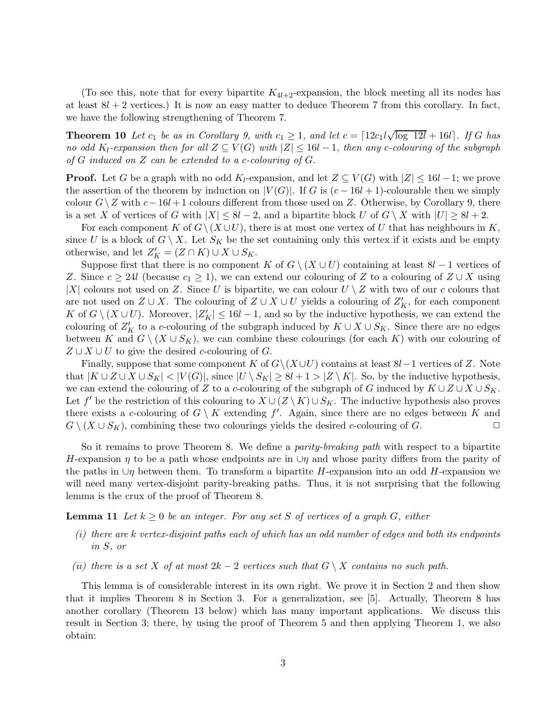(To see this, note that for every bipartite  $K_{4l+2}$ -expansion, the block meeting all its nodes has at least  $8l + 2$  vertices.) It is now an easy matter to deduce Theorem 7 from this corollary. In fact, we have the following strengthening of Theorem 7.

**Theorem 10** *Let*  $c_1$  *be as in Corollary 9, with*  $c_1 \geq 1$ *, and let*  $c = \lfloor 12c_1l\sqrt{\log 12l} + 16l \rfloor$ *. If* G *has no odd* K<sub>l</sub><sup> $\epsilon$ </sup>-expansion then for all  $Z \subseteq V(G)$  with  $|Z| \leq 16l - 1$ , then any c-colouring of the subgraph *of* G *induced on* Z *can be extended to a* c*-colouring of* G*.*

**Proof.** Let G be a graph with no odd  $K_l$ -expansion, and let  $Z \subseteq V(G)$  with  $|Z| \leq 16l - 1$ ; we prove the assertion of the theorem by induction on  $|V(G)|$ . If G is  $(c - 16l + 1)$ -colourable then we simply colour  $G\setminus Z$  with  $c-16l+1$  colours different from those used on Z. Otherwise, by Corollary 9, there is a set X of vertices of G with  $|X| \leq 8l-2$ , and a bipartite block U of  $G \setminus X$  with  $|U| \geq 8l+2$ .

For each component K of  $G\setminus (X\cup U)$ , there is at most one vertex of U that has neighbours in K, since U is a block of  $G \setminus X$ . Let  $S_K$  be the set containing only this vertex if it exists and be empty otherwise, and let  $Z_K' = (Z \cap K) \cup X \cup S_K$ .

Suppose first that there is no component K of  $G \setminus (X \cup U)$  containing at least  $8l - 1$  vertices of Z. Since  $c \geq 24l$  (because  $c_1 \geq 1$ ), we can extend our colouring of Z to a colouring of  $Z \cup X$  using |X| colours not used on Z. Since U is bipartite, we can colour  $U \setminus Z$  with two of our c colours that are not used on  $Z \cup X$ . The colouring of  $Z \cup X \cup U$  yields a colouring of  $Z'_{K}$ , for each component K of  $G \setminus (X \cup U)$ . Moreover,  $|Z_K'|\leq 16l-1$ , and so by the inductive hypothesis, we can extend the colouring of  $Z'_{K}$  to a c-colouring of the subgraph induced by  $K \cup X \cup S_{K}$ . Since there are no edges between K and  $G \setminus (X \cup S_K)$ , we can combine these colourings (for each K) with our colouring of  $Z \cup X \cup U$  to give the desired c-colouring of G.

Finally, suppose that some component K of  $G\setminus (X\cup U)$  contains at least 8l – 1 vertices of Z. Note that  $|K \cup Z \cup X \cup S_K|$  <  $|V(G)|$ , since  $|U \setminus S_K|$  ≥ 8l + 1 >  $|Z \setminus K|$ . So, by the inductive hypothesis, we can extend the colouring of Z to a c-colouring of the subgraph of G induced by  $K \cup Z \cup X \cup S_K$ . Let f' be the restriction of this colouring to  $X \cup (Z \setminus K) \cup S_K$ . The inductive hypothesis also proves there exists a c-colouring of  $G \setminus K$  extending  $f'$ . Again, since there are no edges between K and  $G \setminus (X \cup S_K)$ , combining these two colourings yields the desired *c*-colouring of G.

So it remains to prove Theorem 8. We define a *parity-breaking path* with respect to a bipartite H-expansion  $\eta$  to be a path whose endpoints are in  $\cup \eta$  and whose parity differs from the parity of the paths in  $\cup \eta$  between them. To transform a bipartite H-expansion into an odd H-expansion we will need many vertex-disjoint parity-breaking paths. Thus, it is not surprising that the following lemma is the crux of the proof of Theorem 8.

**Lemma 11** Let  $k \geq 0$  be an integer. For any set S of vertices of a graph G, either

- *(i) there are* k *vertex-disjoint paths each of which has an odd number of edges and both its endpoints in* S*, or*
- *(ii) there is a set* X *of at most*  $2k 2$  *vertices such that*  $G \setminus X$  *contains no such path.*

This lemma is of considerable interest in its own right. We prove it in Section 2 and then show that it implies Theorem 8 in Section 3. For a generalization, see [5]. Actually, Theorem 8 has another corollary (Theorem 13 below) which has many important applications. We discuss this result in Section 3; there, by using the proof of Theorem 5 and then applying Theorem 1, we also obtain: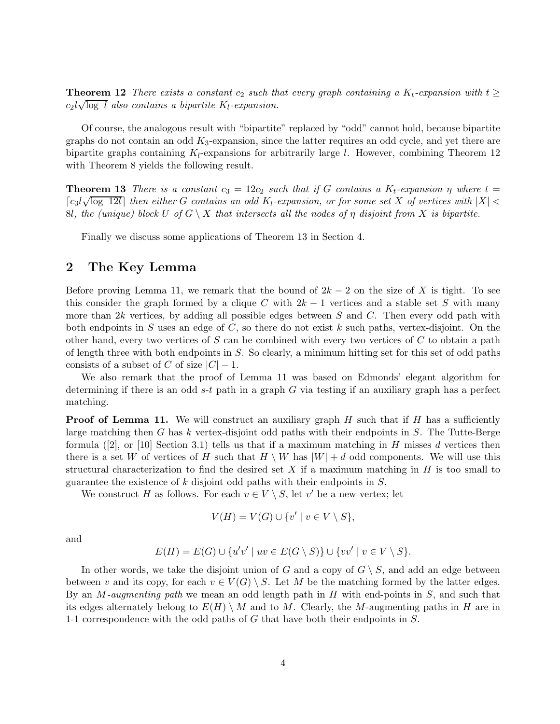**Theorem 12** *There exists a constant*  $c_2$  *such that every graph containing a*  $K_t$ -*expansion with*  $t \geq$ **Theorem 12** There exists a constant  $c_2$  such the  $c_2l\sqrt{\log l}$  also contains a bipartite  $K_l$ -expansion.

Of course, the analogous result with "bipartite" replaced by "odd" cannot hold, because bipartite graphs do not contain an odd  $K_3$ -expansion, since the latter requires an odd cycle, and yet there are bipartite graphs containing K*l*-expansions for arbitrarily large l. However, combining Theorem 12 with Theorem 8 yields the following result.

**Theorem 13** *There is a constant*  $c_3 = 12c_2$  *such that if* G *contains a*  $K_t$ -*expansion*  $\eta$  *where*  $t =$ c3l <sup>√</sup>log 12<sup>l</sup> *then either* <sup>G</sup> *contains an odd* <sup>K</sup>*l-expansion, or for some set* <sup>X</sup> *of vertices with* <sup>|</sup>X<sup>|</sup> <sup>&</sup>lt; 8l, the (unique) block U of  $G \setminus X$  that intersects all the nodes of  $\eta$  disjoint from X is bipartite.

Finally we discuss some applications of Theorem 13 in Section 4.

#### **2 The Key Lemma**

Before proving Lemma 11, we remark that the bound of  $2k - 2$  on the size of X is tight. To see this consider the graph formed by a clique C with  $2k - 1$  vertices and a stable set S with many more than  $2k$  vertices, by adding all possible edges between S and C. Then every odd path with both endpoints in S uses an edge of  $C$ , so there do not exist k such paths, vertex-disjoint. On the other hand, every two vertices of  $S$  can be combined with every two vertices of  $C$  to obtain a path of length three with both endpoints in S. So clearly, a minimum hitting set for this set of odd paths consists of a subset of C of size  $|C| - 1$ .

We also remark that the proof of Lemma 11 was based on Edmonds' elegant algorithm for determining if there is an odd  $s-t$  path in a graph G via testing if an auxiliary graph has a perfect matching.

**Proof of Lemma 11.** We will construct an auxiliary graph  $H$  such that if  $H$  has a sufficiently large matching then  $G$  has  $k$  vertex-disjoint odd paths with their endpoints in  $S$ . The Tutte-Berge formula  $(2)$ , or  $[10]$  Section 3.1) tells us that if a maximum matching in H misses d vertices then there is a set W of vertices of H such that  $H \setminus W$  has  $|W| + d$  odd components. We will use this structural characterization to find the desired set X if a maximum matching in  $H$  is too small to guarantee the existence of k disjoint odd paths with their endpoints in S.

We construct H as follows. For each  $v \in V \setminus S$ , let v' be a new vertex; let

$$
V(H) = V(G) \cup \{v' \mid v \in V \setminus S\},\
$$

and

$$
E(H) = E(G) \cup \{u'v' \mid uv \in E(G \setminus S)\} \cup \{vv' \mid v \in V \setminus S\}.
$$

In other words, we take the disjoint union of G and a copy of  $G \setminus S$ , and add an edge between between v and its copy, for each  $v \in V(G) \setminus S$ . Let M be the matching formed by the latter edges. By an M*-augmenting path* we mean an odd length path in H with end-points in S, and such that its edges alternately belong to  $E(H) \setminus M$  and to M. Clearly, the M-augmenting paths in H are in 1-1 correspondence with the odd paths of G that have both their endpoints in S.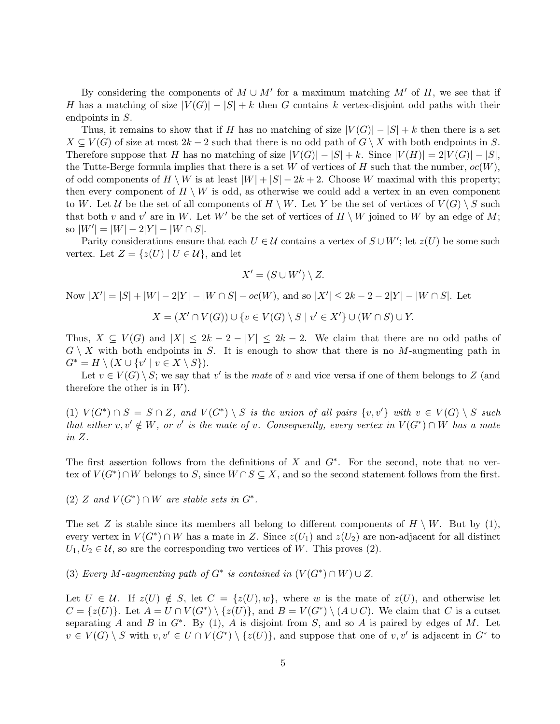By considering the components of  $M \cup M'$  for a maximum matching M' of H, we see that if H has a matching of size  $|V(G)|-|S|+k$  then G contains k vertex-disjoint odd paths with their endpoints in S.

Thus, it remains to show that if H has no matching of size  $|V(G)|-|S|+k$  then there is a set  $X \subseteq V(G)$  of size at most  $2k-2$  such that there is no odd path of  $G \setminus X$  with both endpoints in S. Therefore suppose that H has no matching of size  $|V(G)|-|S| + k$ . Since  $|V(H)| = 2|V(G)|-|S|$ , the Tutte-Berge formula implies that there is a set W of vertices of H such that the number,  $oc(W)$ , of odd components of  $H \setminus W$  is at least  $|W| + |S| - 2k + 2$ . Choose W maximal with this property; then every component of  $H \setminus W$  is odd, as otherwise we could add a vertex in an even component to W. Let U be the set of all components of  $H \setminus W$ . Let Y be the set of vertices of  $V(G) \setminus S$  such that both v and v' are in W. Let W' be the set of vertices of  $H \setminus W$  joined to W by an edge of M; so  $|W'| = |W| - 2|Y| - |W \cap S|.$ 

Parity considerations ensure that each  $U \in \mathcal{U}$  contains a vertex of  $S \cup W'$ ; let  $z(U)$  be some such vertex. Let  $Z = \{z(U) | U \in \mathcal{U}\}\)$ , and let

$$
X' = (S \cup W') \setminus Z.
$$

Now  $|X'| = |S| + |W| - 2|Y| - |W \cap S| - oc(W)$ , and so  $|X'| \le 2k - 2 - 2|Y| - |W \cap S|$ . Let

$$
X = (X' \cap V(G)) \cup \{v \in V(G) \setminus S \mid v' \in X'\} \cup (W \cap S) \cup Y.
$$

Thus,  $X \subseteq V(G)$  and  $|X| \leq 2k - 2 - |Y| \leq 2k - 2$ . We claim that there are no odd paths of  $G \setminus X$  with both endpoints in S. It is enough to show that there is no M-augmenting path in  $G^* = H \setminus (X \cup \{v' \mid v \in X \setminus S\}).$ 

Let  $v \in V(G) \setminus S$ ; we say that v' is the *mate* of v and vice versa if one of them belongs to Z (and therefore the other is in  $W$ ).

(1)  $V(G^*) \cap S = S \cap Z$ , and  $V(G^*) \setminus S$  *is the union of all pairs*  $\{v, v'\}$  *with*  $v \in V(G) \setminus S$  *such that either*  $v, v' \notin W$ *, or*  $v'$  *is the mate of*  $v$ *. Consequently, every vertex in*  $V(G^*) \cap W$  *has a mate in* Z*.*

The first assertion follows from the definitions of X and  $G^*$ . For the second, note that no vertex of  $V(G^*) \cap W$  belongs to S, since  $W \cap S \subseteq X$ , and so the second statement follows from the first.

 $(2)$  *Z* and  $V(G^*) \cap W$  are stable sets in  $G^*$ .

The set Z is stable since its members all belong to different components of  $H \setminus W$ . But by (1), every vertex in  $V(G^*) \cap W$  has a mate in Z. Since  $z(U_1)$  and  $z(U_2)$  are non-adjacent for all distinct  $U_1, U_2 \in \mathcal{U}$ , so are the corresponding two vertices of W. This proves (2).

(3) *Every* M-augmenting path of  $G^*$  is contained in  $(V(G^*) \cap W) \cup Z$ .

Let  $U \in \mathcal{U}$ . If  $z(U) \notin S$ , let  $C = \{z(U), w\}$ , where w is the mate of  $z(U)$ , and otherwise let  $C = \{z(U)\}\.$  Let  $A = U \cap V(G^*) \setminus \{z(U)\}\.$  and  $B = V(G^*) \setminus (A \cup C)$ . We claim that C is a cutset separating A and B in  $G^*$ . By (1), A is disjoint from S, and so A is paired by edges of M. Let  $v \in V(G) \setminus S$  with  $v, v' \in U \cap V(G^*) \setminus \{z(U)\}\)$ , and suppose that one of  $v, v'$  is adjacent in  $G^*$  to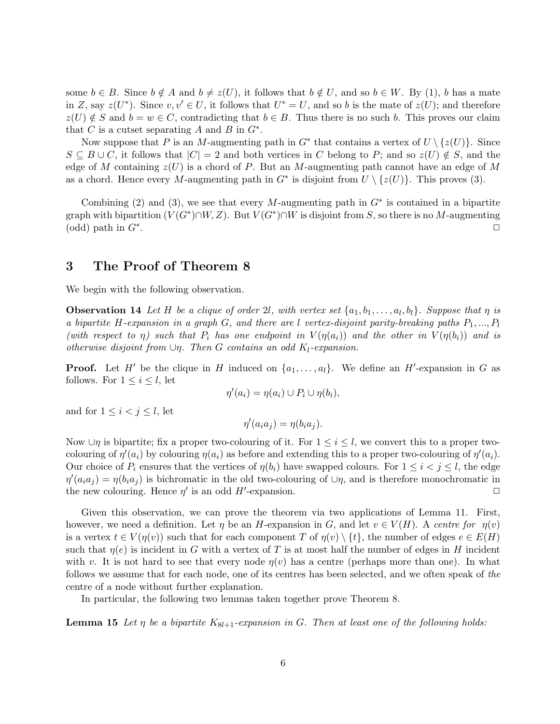some  $b \in B$ . Since  $b \notin A$  and  $b \neq z(U)$ , it follows that  $b \notin U$ , and so  $b \in W$ . By (1), b has a mate in Z, say  $z(U^*)$ . Since  $v, v' \in U$ , it follows that  $U^* = U$ , and so b is the mate of  $z(U)$ ; and therefore  $z(U) \notin S$  and  $b = w \in C$ , contradicting that  $b \in B$ . Thus there is no such b. This proves our claim that C is a cutset separating A and B in  $G^*$ .

Now suppose that P is an M-augmenting path in  $G^*$  that contains a vertex of  $U \setminus \{z(U)\}\)$ . Since  $S \subseteq B \cup C$ , it follows that  $|C| = 2$  and both vertices in C belong to P; and so  $z(U) \notin S$ , and the edge of M containing  $z(U)$  is a chord of P. But an M-augmenting path cannot have an edge of M as a chord. Hence every M-augmenting path in  $G^*$  is disjoint from  $U \setminus \{z(U)\}\)$ . This proves (3).

Combining (2) and (3), we see that every M-augmenting path in  $G^*$  is contained in a bipartite graph with bipartition  $(V(G^*)\cap W, Z)$ . But  $V(G^*)\cap W$  is disjoint from S, so there is no M-augmenting (odd) path in  $G^*$ .

#### **3 The Proof of Theorem 8**

We begin with the following observation.

**Observation 14** Let H be a clique of order 2l, with vertex set  $\{a_1, b_1, \ldots, a_l, b_l\}$ . Suppose that  $\eta$  is *a bipartite* H*-expansion in a graph* G*, and there are* l *vertex-disjoint parity-breaking paths* P1, ..., P*<sup>l</sup> (with respect to*  $\eta$ ) *such that*  $P_i$  *has one endpoint in*  $V(\eta(a_i))$  *and the other in*  $V(\eta(b_i))$  *and is otherwise disjoint from* ∪η*. Then* G *contains an odd* K*l-expansion.*

**Proof.** Let H' be the clique in H induced on  $\{a_1, \ldots, a_l\}$ . We define an H'-expansion in G as follows. For  $1 \leq i \leq l$ , let

$$
\eta'(a_i) = \eta(a_i) \cup P_i \cup \eta(b_i),
$$

and for  $1 \leq i < j \leq l$ , let

$$
\eta'(a_i a_j) = \eta(b_i a_j).
$$

Now  $\cup$ η is bipartite; fix a proper two-colouring of it. For  $1 \leq i \leq l$ , we convert this to a proper twocolouring of  $\eta'(a_i)$  by colouring  $\eta(a_i)$  as before and extending this to a proper two-colouring of  $\eta'(a_i)$ . Our choice of  $P_i$  ensures that the vertices of  $\eta(b_i)$  have swapped colours. For  $1 \leq i < j \leq l$ , the edge  $\eta'(a_i a_j) = \eta(b_i a_j)$  is bichromatic in the old two-colouring of  $\cup \eta$ , and is therefore monochromatic in the new colouring. Hence  $\eta'$  is an odd H'-expansion.

Given this observation, we can prove the theorem via two applications of Lemma 11. First, however, we need a definition. Let  $\eta$  be an H-expansion in G, and let  $v \in V(H)$ . A *centre for*  $\eta(v)$ is a vertex  $t \in V(\eta(v))$  such that for each component T of  $\eta(v) \setminus \{t\}$ , the number of edges  $e \in E(H)$ such that  $\eta(e)$  is incident in G with a vertex of T is at most half the number of edges in H incident with v. It is not hard to see that every node  $\eta(v)$  has a centre (perhaps more than one). In what follows we assume that for each node, one of its centres has been selected, and we often speak of *the* centre of a node without further explanation.

In particular, the following two lemmas taken together prove Theorem 8.

**Lemma 15** Let  $\eta$  be a bipartite  $K_{8l+1}$ -expansion in G. Then at least one of the following holds: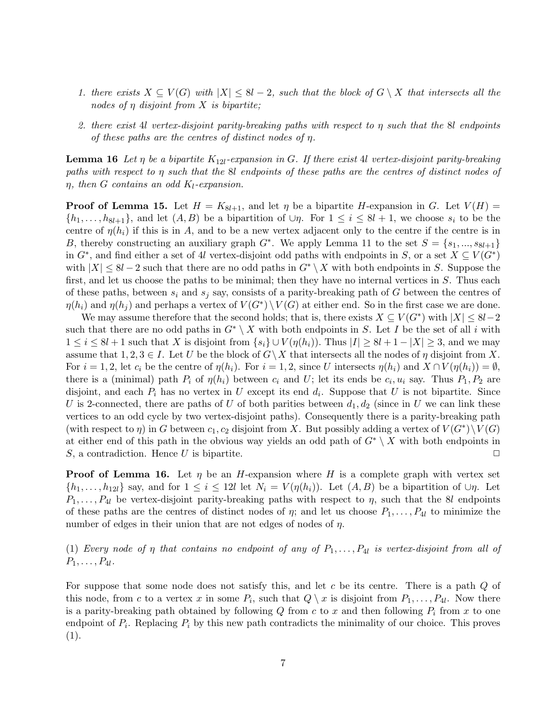- *1. there exists*  $X ⊆ V(G)$  *with*  $|X| ≤ 8l 2$ *, such that the block of*  $G \setminus X$  *that intersects all the nodes of* η *disjoint from* X *is bipartite;*
- *2. there exist* 4l *vertex-disjoint parity-breaking paths with respect to* η *such that the* 8l *endpoints of these paths are the centres of distinct nodes of* η*.*

**Lemma 16** Let  $\eta$  be a bipartite  $K_{12l}$ -expansion in G. If there exist 4l vertex-disjoint parity-breaking *paths with respect to* η *such that the* 8l *endpoints of these paths are the centres of distinct nodes of* η*, then* G *contains an odd* K*l-expansion.*

**Proof of Lemma 15.** Let  $H = K_{8l+1}$ , and let  $\eta$  be a bipartite H-expansion in G. Let  $V(H)$  =  $\{h_1,\ldots,h_{8l+1}\}\$ , and let  $(A, B)$  be a bipartition of  $\cup \eta$ . For  $1 \leq i \leq 8l+1$ , we choose  $s_i$  to be the centre of  $\eta(h_i)$  if this is in A, and to be a new vertex adjacent only to the centre if the centre is in B, thereby constructing an auxiliary graph  $G^*$ . We apply Lemma 11 to the set  $S = \{s_1, ..., s_{8l+1}\}\$ in  $G^*$ , and find either a set of 4l vertex-disjoint odd paths with endpoints in S, or a set  $X \subseteq V(G^*)$ with  $|X| \leq 8l - 2$  such that there are no odd paths in  $G^* \setminus X$  with both endpoints in S. Suppose the first, and let us choose the paths to be minimal; then they have no internal vertices in S. Thus each of these paths, between  $s_i$  and  $s_j$  say, consists of a parity-breaking path of  $G$  between the centres of  $\eta(h_i)$  and  $\eta(h_j)$  and perhaps a vertex of  $V(G^*) \setminus V(G)$  at either end. So in the first case we are done.

We may assume therefore that the second holds; that is, there exists  $X \subseteq V(G^*)$  with  $|X| \leq 8l-2$ such that there are no odd paths in  $G^* \setminus X$  with both endpoints in S. Let I be the set of all i with  $1 \leq i \leq 8l+1$  such that X is disjoint from  $\{s_i\} \cup V(\eta(h_i))$ . Thus  $|I| \geq 8l+1-|X| \geq 3$ , and we may assume that  $1, 2, 3 \in I$ . Let U be the block of  $G \backslash X$  that intersects all the nodes of  $\eta$  disjoint from X. For  $i = 1, 2$ , let  $c_i$  be the centre of  $\eta(h_i)$ . For  $i = 1, 2$ , since U intersects  $\eta(h_i)$  and  $X \cap V(\eta(h_i)) = \emptyset$ , there is a (minimal) path  $P_i$  of  $\eta(h_i)$  between  $c_i$  and U; let its ends be  $c_i, u_i$  say. Thus  $P_1, P_2$  are disjoint, and each  $P_i$  has no vertex in U except its end  $d_i$ . Suppose that U is not bipartite. Since U is 2-connected, there are paths of U of both parities between  $d_1, d_2$  (since in U we can link these vertices to an odd cycle by two vertex-disjoint paths). Consequently there is a parity-breaking path (with respect to  $\eta$ ) in G between  $c_1, c_2$  disjoint from X. But possibly adding a vertex of  $V(G^*)\backslash V(G)$ at either end of this path in the obvious way yields an odd path of  $G^* \setminus X$  with both endpoints in S, a contradiction. Hence U is bipartite.  $\Box$ 

**Proof of Lemma 16.** Let  $\eta$  be an H-expansion where H is a complete graph with vertex set  $\{h_1,\ldots,h_{12l}\}\$  say, and for  $1\leq i\leq 12l$  let  $N_i=V(\eta(h_i))$ . Let  $(A,B)$  be a bipartition of  $\cup\eta$ . Let  $P_1,\ldots,P_4$  be vertex-disjoint parity-breaking paths with respect to  $\eta$ , such that the 8l endpoints of these paths are the centres of distinct nodes of  $\eta$ ; and let us choose  $P_1, \ldots, P_{4l}$  to minimize the number of edges in their union that are not edges of nodes of  $\eta$ .

(1) *Every node of*  $\eta$  *that contains no endpoint of any of*  $P_1, \ldots, P_{4l}$  *is vertex-disjoint from all of*  $P_1, \ldots, P_{4l}$ *.* 

For suppose that some node does not satisfy this, and let c be its centre. There is a path Q of this node, from c to a vertex x in some  $P_i$ , such that  $Q \setminus x$  is disjoint from  $P_1, \ldots, P_{4l}$ . Now there is a parity-breaking path obtained by following  $Q$  from  $c$  to  $x$  and then following  $P_i$  from  $x$  to one endpoint of  $P_i$ . Replacing  $P_i$  by this new path contradicts the minimality of our choice. This proves (1).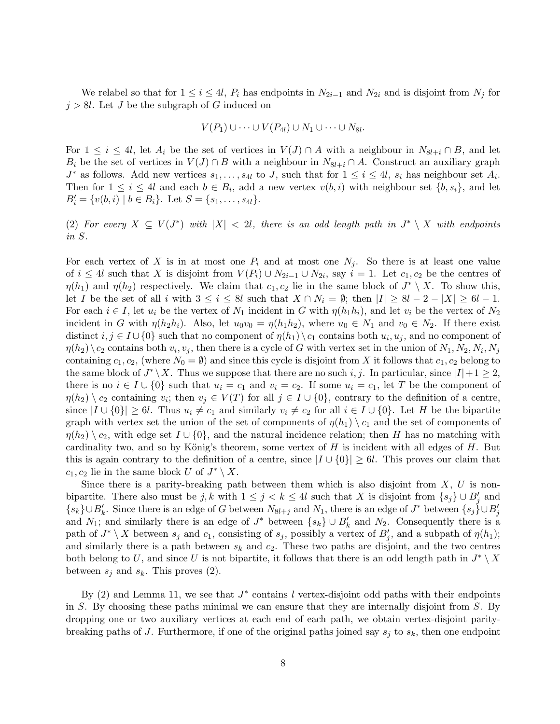We relabel so that for  $1 \leq i \leq 4l$ ,  $P_i$  has endpoints in  $N_{2i-1}$  and  $N_{2i}$  and is disjoint from  $N_j$  for  $j > 8l$ . Let J be the subgraph of G induced on

$$
V(P_1) \cup \cdots \cup V(P_{4l}) \cup N_1 \cup \cdots \cup N_{8l}.
$$

For  $1 \leq i \leq 4l$ , let  $A_i$  be the set of vertices in  $V(J) \cap A$  with a neighbour in  $N_{8l+i} \cap B$ , and let  $B_i$  be the set of vertices in  $V(J) \cap B$  with a neighbour in  $N_{8l+i} \cap A$ . Construct an auxiliary graph  $J^*$  as follows. Add new vertices  $s_1, \ldots, s_{4l}$  to J, such that for  $1 \leq i \leq 4l$ ,  $s_i$  has neighbour set  $A_i$ . Then for  $1 \leq i \leq 4l$  and each  $b \in B_i$ , add a new vertex  $v(b, i)$  with neighbour set  $\{b, s_i\}$ , and let  $B'_{i} = \{v(b, i) \mid b \in B_{i}\}.$  Let  $S = \{s_{1}, \ldots, s_{4l}\}.$ 

(2) For every  $X \subseteq V(J^*)$  with  $|X| < 2l$ , there is an odd length path in  $J^* \setminus X$  with endpoints *in* S*.*

For each vertex of X is in at most one  $P_i$  and at most one  $N_j$ . So there is at least one value of  $i \leq 4l$  such that X is disjoint from  $V(P_i) \cup N_{2i-1} \cup N_{2i}$ , say  $i = 1$ . Let  $c_1, c_2$  be the centres of  $\eta(h_1)$  and  $\eta(h_2)$  respectively. We claim that  $c_1, c_2$  lie in the same block of  $J^* \setminus X$ . To show this, let I be the set of all i with  $3 \leq i \leq 8l$  such that  $X \cap N_i = \emptyset$ ; then  $|I| \geq 8l - 2 - |X| \geq 6l - 1$ . For each  $i \in I$ , let  $u_i$  be the vertex of  $N_1$  incident in G with  $\eta(h_1h_i)$ , and let  $v_i$  be the vertex of  $N_2$ incident in G with  $\eta(h_2h_i)$ . Also, let  $u_0v_0 = \eta(h_1h_2)$ , where  $u_0 \in N_1$  and  $v_0 \in N_2$ . If there exist distinct  $i, j \in I \cup \{0\}$  such that no component of  $\eta(h_1) \setminus c_1$  contains both  $u_i, u_j$ , and no component of  $\eta(h_2)\setminus c_2$  contains both  $v_i, v_j$ , then there is a cycle of G with vertex set in the union of  $N_1, N_2, N_i, N_j$ containing  $c_1, c_2$ , (where  $N_0 = \emptyset$ ) and since this cycle is disjoint from X it follows that  $c_1, c_2$  belong to the same block of  $J^* \backslash X$ . Thus we suppose that there are no such i, j. In particular, since  $|I|+1 \geq 2$ , there is no  $i \in I \cup \{0\}$  such that  $u_i = c_1$  and  $v_i = c_2$ . If some  $u_i = c_1$ , let T be the component of  $\eta(h_2) \setminus c_2$  containing  $v_i$ ; then  $v_j \in V(T)$  for all  $j \in I \cup \{0\}$ , contrary to the definition of a centre, since  $|I \cup \{0\}| \ge 6l$ . Thus  $u_i \ne c_1$  and similarly  $v_i \ne c_2$  for all  $i \in I \cup \{0\}$ . Let H be the bipartite graph with vertex set the union of the set of components of  $\eta(h_1) \setminus c_1$  and the set of components of  $\eta(h_2) \setminus c_2$ , with edge set  $I \cup \{0\}$ , and the natural incidence relation; then H has no matching with cardinality two, and so by König's theorem, some vertex of  $H$  is incident with all edges of  $H$ . But this is again contrary to the definition of a centre, since  $|I \cup \{0\}| \geq 6l$ . This proves our claim that  $c_1, c_2$  lie in the same block U of  $J^* \setminus X$ .

Since there is a parity-breaking path between them which is also disjoint from  $X, U$  is nonbipartite. There also must be  $j, k$  with  $1 \leq j < k \leq 4l$  such that X is disjoint from  $\{s_j\} \cup B'_j$  and  ${s_k}$  ∪ $B'_k$ . Since there is an edge of G between  $N_{8l+j}$  and  $N_1$ , there is an edge of  $J^*$  between  ${s_j}$  ∪  $B'_j$ and  $N_1$ ; and similarly there is an edge of  $J^*$  between  $\{s_k\} \cup B'_k$  and  $N_2$ . Consequently there is a path of  $J^* \setminus X$  between  $s_j$  and  $c_1$ , consisting of  $s_j$ , possibly a vertex of  $B'_j$ , and a subpath of  $\eta(h_1)$ ; and similarly there is a path between  $s_k$  and  $c_2$ . These two paths are disjoint, and the two centres both belong to U, and since U is not bipartite, it follows that there is an odd length path in  $J^* \setminus X$ between  $s_j$  and  $s_k$ . This proves (2).

By (2) and Lemma 11, we see that  $J^*$  contains l vertex-disjoint odd paths with their endpoints in S. By choosing these paths minimal we can ensure that they are internally disjoint from  $S$ . By dropping one or two auxiliary vertices at each end of each path, we obtain vertex-disjoint paritybreaking paths of J. Furthermore, if one of the original paths joined say s*<sup>j</sup>* to s*k*, then one endpoint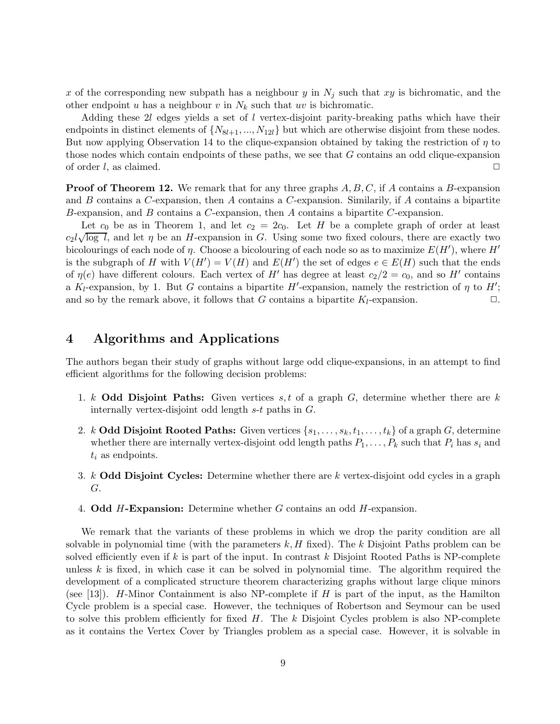x of the corresponding new subpath has a neighbour y in  $N_j$  such that xy is bichromatic, and the other endpoint u has a neighbour v in  $N_k$  such that uv is bichromatic.

Adding these  $2l$  edges yields a set of l vertex-disjoint parity-breaking paths which have their endpoints in distinct elements of  $\{N_{8l+1}, ..., N_{12l}\}$  but which are otherwise disjoint from these nodes. But now applying Observation 14 to the clique-expansion obtained by taking the restriction of  $\eta$  to those nodes which contain endpoints of these paths, we see that G contains an odd clique-expansion of order l, as claimed.  $\Box$ 

**Proof of Theorem 12.** We remark that for any three graphs A, B, C, if A contains a B-expansion and  $B$  contains a C-expansion, then  $A$  contains a C-expansion. Similarly, if  $A$  contains a bipartite B-expansion, and B contains a C-expansion, then A contains a bipartite C-expansion.

Let  $c_0$  be as in Theorem 1, and let  $c_2 = 2c_0$ . Let H be a complete graph of order at least Let  $\epsilon_0$  be as in Theorem 1, and let  $\epsilon_2 = 2\epsilon_0$ . Let H be a complete graph of order at least  $\epsilon_2 l \sqrt{\log l}$ , and let  $\eta$  be an H-expansion in G. Using some two fixed colours, there are exactly two bicolourings of each node of  $\eta$ . Choose a bicolouring of each node so as to maximize  $E(H')$ , where  $H'$ is the subgraph of H with  $V(H') = V(H)$  and  $E(H')$  the set of edges  $e \in E(H)$  such that the ends of  $\eta(e)$  have different colours. Each vertex of H' has degree at least  $c_2/2 = c_0$ , and so H' contains a  $K_l$ -expansion, by 1. But G contains a bipartite H'-expansion, namely the restriction of  $\eta$  to H'; and so by the remark above, it follows that G contains a bipartite  $K_l$ -expansion.  $\Box$ 

### **4 Algorithms and Applications**

The authors began their study of graphs without large odd clique-expansions, in an attempt to find efficient algorithms for the following decision problems:

- 1. k **Odd Disjoint Paths:** Given vertices  $s, t$  of a graph  $G$ , determine whether there are k internally vertex-disjoint odd length s-t paths in G.
- 2. k **Odd Disjoint Rooted Paths:** Given vertices  $\{s_1, \ldots, s_k, t_1, \ldots, t_k\}$  of a graph G, determine whether there are internally vertex-disjoint odd length paths  $P_1, \ldots, P_k$  such that  $P_i$  has  $s_i$  and t*<sup>i</sup>* as endpoints.
- 3. k **Odd Disjoint Cycles:** Determine whether there are k vertex-disjoint odd cycles in a graph G.
- 4. **Odd** H**-Expansion:** Determine whether G contains an odd H-expansion.

We remark that the variants of these problems in which we drop the parity condition are all solvable in polynomial time (with the parameters  $k, H$  fixed). The k Disjoint Paths problem can be solved efficiently even if k is part of the input. In contrast k Disjoint Rooted Paths is NP-complete unless  $k$  is fixed, in which case it can be solved in polynomial time. The algorithm required the development of a complicated structure theorem characterizing graphs without large clique minors (see [13]). H-Minor Containment is also NP-complete if H is part of the input, as the Hamilton Cycle problem is a special case. However, the techniques of Robertson and Seymour can be used to solve this problem efficiently for fixed  $H$ . The k Disjoint Cycles problem is also NP-complete as it contains the Vertex Cover by Triangles problem as a special case. However, it is solvable in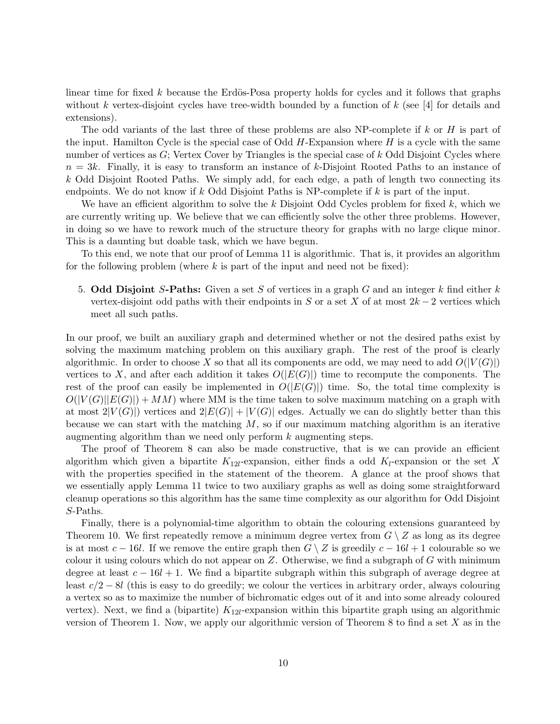linear time for fixed k because the Erdös-Posa property holds for cycles and it follows that graphs without k vertex-disjoint cycles have tree-width bounded by a function of k (see [4] for details and extensions).

The odd variants of the last three of these problems are also NP-complete if k or H is part of the input. Hamilton Cycle is the special case of Odd  $H$ -Expansion where  $H$  is a cycle with the same number of vertices as  $G$ ; Vertex Cover by Triangles is the special case of k Odd Disjoint Cycles where  $n = 3k$ . Finally, it is easy to transform an instance of k-Disjoint Rooted Paths to an instance of  $k$  Odd Disjoint Rooted Paths. We simply add, for each edge, a path of length two connecting its endpoints. We do not know if k Odd Disjoint Paths is NP-complete if  $k$  is part of the input.

We have an efficient algorithm to solve the k Disjoint Odd Cycles problem for fixed k, which we are currently writing up. We believe that we can efficiently solve the other three problems. However, in doing so we have to rework much of the structure theory for graphs with no large clique minor. This is a daunting but doable task, which we have begun.

To this end, we note that our proof of Lemma 11 is algorithmic. That is, it provides an algorithm for the following problem (where  $k$  is part of the input and need not be fixed):

5. **Odd Disjoint** S**-Paths:** Given a set S of vertices in a graph G and an integer k find either k vertex-disjoint odd paths with their endpoints in S or a set X of at most  $2k-2$  vertices which meet all such paths.

In our proof, we built an auxiliary graph and determined whether or not the desired paths exist by solving the maximum matching problem on this auxiliary graph. The rest of the proof is clearly algorithmic. In order to choose X so that all its components are odd, we may need to add  $O(|V(G)|)$ vertices to X, and after each addition it takes  $O(|E(G)|)$  time to recompute the components. The rest of the proof can easily be implemented in  $O(|E(G)|)$  time. So, the total time complexity is  $O(|V(G)||E(G)|) + MM$  where MM is the time taken to solve maximum matching on a graph with at most  $2|V(G)|$  vertices and  $2|E(G)|+|V(G)|$  edges. Actually we can do slightly better than this because we can start with the matching  $M$ , so if our maximum matching algorithm is an iterative augmenting algorithm than we need only perform  $k$  augmenting steps.

The proof of Theorem 8 can also be made constructive, that is we can provide an efficient algorithm which given a bipartite  $K_{12l}$ -expansion, either finds a odd  $K_l$ -expansion or the set X with the properties specified in the statement of the theorem. A glance at the proof shows that we essentially apply Lemma 11 twice to two auxiliary graphs as well as doing some straightforward cleanup operations so this algorithm has the same time complexity as our algorithm for Odd Disjoint S-Paths.

Finally, there is a polynomial-time algorithm to obtain the colouring extensions guaranteed by Theorem 10. We first repeatedly remove a minimum degree vertex from  $G \setminus Z$  as long as its degree is at most  $c - 16l$ . If we remove the entire graph then  $G \setminus Z$  is greedily  $c - 16l + 1$  colourable so we colour it using colours which do not appear on  $Z$ . Otherwise, we find a subgraph of  $G$  with minimum degree at least  $c - 16l + 1$ . We find a bipartite subgraph within this subgraph of average degree at least c/2 − 8l (this is easy to do greedily; we colour the vertices in arbitrary order, always colouring a vertex so as to maximize the number of bichromatic edges out of it and into some already coloured vertex). Next, we find a (bipartite) K12*l*-expansion within this bipartite graph using an algorithmic version of Theorem 1. Now, we apply our algorithmic version of Theorem 8 to find a set  $X$  as in the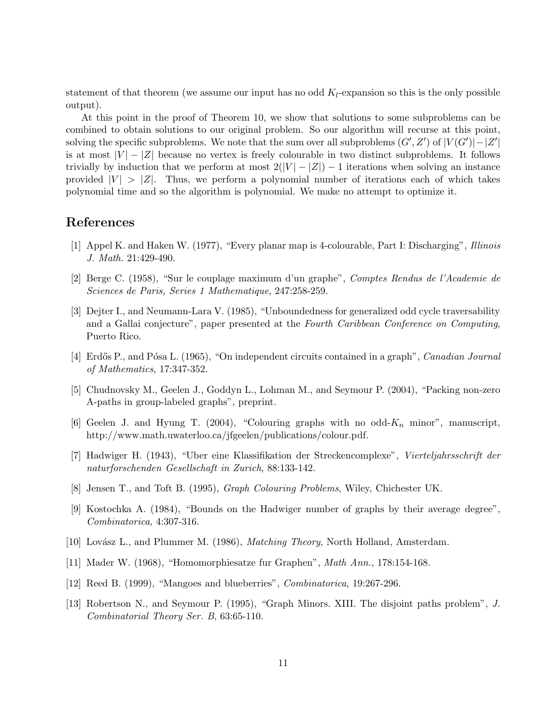statement of that theorem (we assume our input has no odd K*l*-expansion so this is the only possible output).

At this point in the proof of Theorem 10, we show that solutions to some subproblems can be combined to obtain solutions to our original problem. So our algorithm will recurse at this point, solving the specific subproblems. We note that the sum over all subproblems  $(G', Z')$  of  $|V(G')| - |Z'|$ is at most  $|V| - |Z|$  because no vertex is freely colourable in two distinct subproblems. It follows trivially by induction that we perform at most  $2(|V| - |Z|) - 1$  iterations when solving an instance provided  $|V| > |Z|$ . Thus, we perform a polynomial number of iterations each of which takes polynomial time and so the algorithm is polynomial. We make no attempt to optimize it.

#### **References**

- [1] Appel K. and Haken W. (1977), "Every planar map is 4-colourable, Part I: Discharging", *Illinois J. Math.* 21:429-490.
- [2] Berge C. (1958), "Sur le couplage maximum d'un graphe", *Comptes Rendus de l'Academie de Sciences de Paris, Series 1 Mathematique*, 247:258-259.
- [3] Dejter I., and Neumann-Lara V. (1985), "Unboundedness for generalized odd cycle traversability and a Gallai conjecture", paper presented at the *Fourth Caribbean Conference on Computing*, Puerto Rico.
- [4] Erd˝os P., and P´osa L. (1965), "On independent circuits contained in a graph", *Canadian Journal of Mathematics*, 17:347-352.
- [5] Chudnovsky M., Geelen J., Goddyn L., Lohman M., and Seymour P. (2004), "Packing non-zero A-paths in group-labeled graphs", preprint.
- [6] Geelen J. and Hyung T. (2004), "Colouring graphs with no odd-K*<sup>n</sup>* minor", manuscript, http://www.math.uwaterloo.ca/jfgeelen/publications/colour.pdf.
- [7] Hadwiger H. (1943), "Uber eine Klassifikation der Streckencomplexe", *Vierteljahrsschrift der naturforschenden Gesellschaft in Zurich*, 88:133-142.
- [8] Jensen T., and Toft B. (1995), *Graph Colouring Problems*, Wiley, Chichester UK.
- [9] Kostochka A. (1984), "Bounds on the Hadwiger number of graphs by their average degree", *Combinatorica*, 4:307-316.
- [10] Lov´asz L., and Plummer M. (1986), *Matching Theory*, North Holland, Amsterdam.
- [11] Mader W. (1968), "Homomorphiesatze fur Graphen", *Math Ann.*, 178:154-168.
- [12] Reed B. (1999), "Mangoes and blueberries", *Combinatorica*, 19:267-296.
- [13] Robertson N., and Seymour P. (1995), "Graph Minors. XIII. The disjoint paths problem", *J. Combinatorial Theory Ser. B*, 63:65-110.